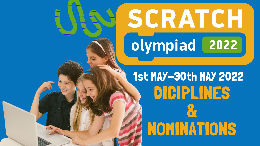### DICIPLINES & NOMINATIONS 1st MAY-30th MAY 2022

# SCRATCH olympiad 2022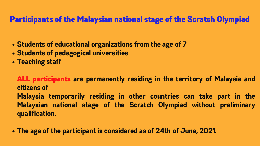- **Students of educational organizations from the age of 7**
- **Students of pedagogical universities**
- **Teaching staff**

**The age of the participant is considered as of 24th of June, 2021.**

### Participants of the Malaysian national stage of the Scratch Olympiad

ALL participants **are permanently residing in the territory of Malaysia and citizens of Malaysia temporarily residing in other countries can take part in the Malaysian national stage of the Scratch Olympiad without preliminary qualification.**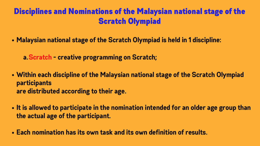**Malaysian national stage of the Scratch Olympiad is held in 1 discipline:**

- **Within each discipline of the Malaysian national stage of the Scratch Olympiad participants are distributed according to their age.**
- **It is allowed to participate in the nomination intended for an older age group than the actual age of the participant.**
- **Each nomination has its own task and its own definition of results.**

**Scratch - creative programming on Scratch; a.**

### Disciplines and Nominations of the Malaysian national stage of the Scratch Olympiad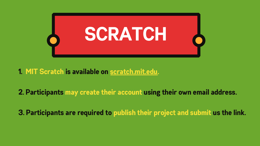- **1. MIT Scratch is available on [scratch.mit.edu.](https://scratch.mit.edu/)**
- **2. Participants may create their account using their own email address.**
- **3. Participants are required to publish their project and submit us the link.**

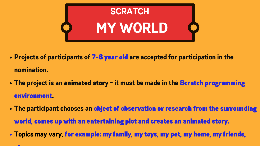- **Projects of participants of** 7-8 year old **are accepted for participation in the nomination.**
- **The project is an** animated story **- it must be made in the** Scratch programming environment.
- **The participant chooses an** object of observation or research from the surrounding world, comes up with an entertaining plot and creates an animated story.
- **Topics may vary,** for example: my family, my toys, my pet, my home, my friends,

## **SCRATCH MY WORLD**



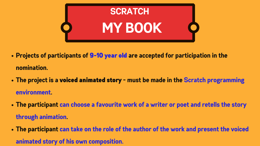- **Projects of participants of** 9-10 year old **are accepted for participation in the nomination.**
- **The project is a** voiced animated story **- must be made in the Scratch programming environment.**
- **The participant can choose a favourite work of a writer or poet and retells the story through animation.**
- **The participant can take on the role of the author of the work and present the voiced animated story of his own composition.**



## **SCRATCH MY BOOK**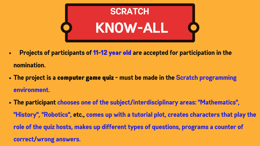- **Projects of participants of** 11-12 year old **are accepted for participation in the**  $\bullet$ **nomination.**
- **The project is a** computer game quiz **- must be made in the Scratch programming environment.**
- **The participant chooses one of the subject/interdisciplinary areas: "Mathematics" , "History" , "Robotics" , etc., comes up with a tutorial plot, creates characters that play the role of the quiz hosts, makes up different types of questions, programs a counter of correct/wrong answers.**



## **SCRATCH KNOW-ALL**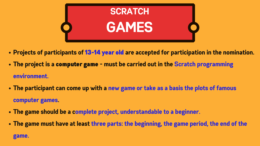- **Projects of participants of** 13-14 year old **are accepted for participation in the nomination.**
- **The project is a** computer game **- must be carried out in the Scratch programming environment.**
- **The participant can come up with a new game or take as a basis the plots of famous computer games.**
- **The game should be a complete project, understandable to a beginner.**
- **The game must have at least three parts: the beginning, the game period, the end of the**

**game.**



## **SCRATCH GAMES**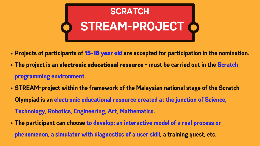- **Projects of participants of** 15-18 year old **are accepted for participation in the nomination. The project is an** electronic educational resource **- must be carried out in the Scratch**
- **programming environment.**
- **STREAM-project within the framework of the Malaysian national stage of the Scratch Olympiad is an electronic educational resource created at the junction of Science, Technology, Robotics, Engineering, Art, Mathematics.**
- **The participant can choose to develop: an interactive model of a real process or phenomenon, a simulator with diagnostics of a user skill, a training quest, etc.**



## **SCRATCH STREAM-PROJECT**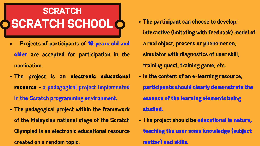- **Projects of participants of** 18 years old and older **are accepted for participation in the nomination.**
- **The project is an** electronic educational resource **- a pedagogical project implemented in the Scratch programming environment.**
- **The pedagogical project within the framework of the Malaysian national stage of the Scratch Olympiad is an electronic educational resource created on a random topic.**

### **SCRATCH SCRATCH SCHOOL**

- **The participant can choose to develop:**
	- **interactive (imitating with feedback) model of**
	- **a real object, process or phenomenon,**
	- **simulator with diagnostics of user skill,**
	- **training quest, training game, etc.**
- **In the content of an e-learning resource,**
	- participants should clearly demonstrate the
	- essence of the learning elements being
	- studied.
- - matter) and skills.
- **The project should be** educational in nature,
	- teaching the user some knowledge (subject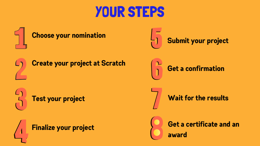### YOUR STEPS

**Finalize your project**



### **Get a confirmation**



### **Wait for the results**

### **Get a certificate and an award**

### **Submit your project**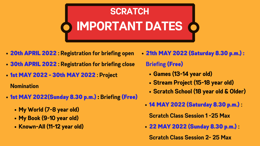## **IMPORTANT DATES SCRATCH**

- 20th APRIL 2022 **: Registration for briefing open**
- 30th APRIL 2022 **: Registration for briefing close**
- 1st MAY 2022 30th MAY 2022 **: Project**

**Nomination**

- 1st MAY 2022(Sunday 8.30 p.m.) : **Briefing** (Free)
	- **My World (7-8 year old)**
	- **My Book (9-10 year old)**
	- **Known-All (11-12 year old)**
- 21th MAY 2022 (Saturday 8.30 p.m.) : **Briefing** (Free) **Games (13-14 year old) Stream Project (15-18 year old) Scratch School (18 year old & Older)**
	-
	-
	-
	-
	- 14 MAY 2022 (Saturday 8.30 p.m.) **:**
		- **Scratch Class Session 1 -25 Max**
	- 22 MAY 2022 (Sunday 8.30 p.m.) **:**
		- **Scratch Class Session 2- 25 Max**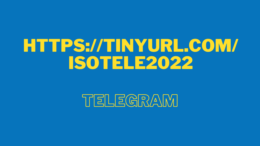## HTTPS://TINYURL.COM/ ISOTELE2022

### TELEGRAM



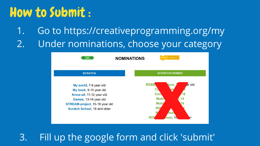### How to Submit :

Go to https://creativeprogramming.org/my Under nominations, choose your category 1. 2.

**SCRATCH** 

**NOMINATIONS** 

My world, 7-8 year old My book, 9-10 year old Know-all, 11-12 year old Games, 13-14 year old STREAM-project, 15-18 year old Scratch School, 18 and older



3. Fill up the google form and click 'submit'

### **SCRATCH+ROBBO**